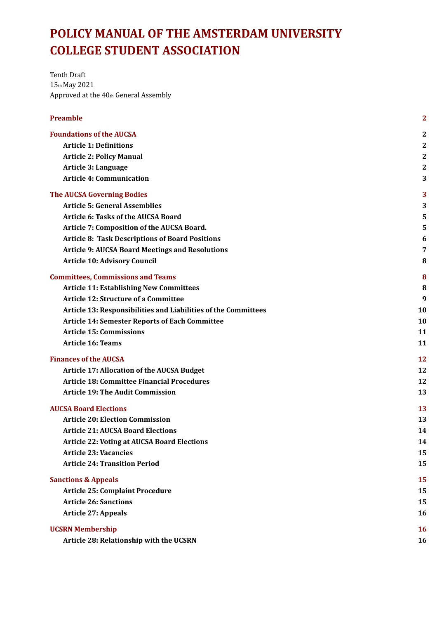# **POLICY MANUAL OF THE AMSTERDAM UNIVERSITY COLLEGE STUDENT ASSOCIATION**

Tenth Draft 15th May 2021 Approved at the  $40<sub>th</sub>$  General Assembly

| <b>Preamble</b> |  |
|-----------------|--|
|                 |  |

| <b>Foundations of the AUCSA</b>                                | 2                |
|----------------------------------------------------------------|------------------|
| <b>Article 1: Definitions</b>                                  | $\boldsymbol{2}$ |
| <b>Article 2: Policy Manual</b>                                | $\boldsymbol{2}$ |
| Article 3: Language                                            | $\boldsymbol{2}$ |
| <b>Article 4: Communication</b>                                | 3                |
| <b>The AUCSA Governing Bodies</b>                              | 3                |
| <b>Article 5: General Assemblies</b>                           | 3                |
| <b>Article 6: Tasks of the AUCSA Board</b>                     | 5                |
| Article 7: Composition of the AUCSA Board.                     | 5                |
| <b>Article 8: Task Descriptions of Board Positions</b>         | 6                |
| <b>Article 9: AUCSA Board Meetings and Resolutions</b>         | 7                |
| <b>Article 10: Advisory Council</b>                            | 8                |
| <b>Committees, Commissions and Teams</b>                       | 8                |
| <b>Article 11: Establishing New Committees</b>                 | 8                |
| <b>Article 12: Structure of a Committee</b>                    | 9                |
| Article 13: Responsibilities and Liabilities of the Committees | 10               |
| <b>Article 14: Semester Reports of Each Committee</b>          | 10               |
| <b>Article 15: Commissions</b>                                 | 11               |
| <b>Article 16: Teams</b>                                       | 11               |
| <b>Finances of the AUCSA</b>                                   | 12               |
| <b>Article 17: Allocation of the AUCSA Budget</b>              | 12               |
| <b>Article 18: Committee Financial Procedures</b>              | 12               |
| <b>Article 19: The Audit Commission</b>                        | 13               |
| <b>AUCSA Board Elections</b>                                   | <b>13</b>        |
| <b>Article 20: Election Commission</b>                         | 13               |
| <b>Article 21: AUCSA Board Elections</b>                       | 14               |
| <b>Article 22: Voting at AUCSA Board Elections</b>             | 14               |
| <b>Article 23: Vacancies</b>                                   | 15               |
| <b>Article 24: Transition Period</b>                           | 15               |
| <b>Sanctions &amp; Appeals</b>                                 | 15               |
| <b>Article 25: Complaint Procedure</b>                         | 15               |
| <b>Article 26: Sanctions</b>                                   | 15               |
| <b>Article 27: Appeals</b>                                     | 16               |
| <b>UCSRN Membership</b>                                        | 16               |
| Article 28: Relationship with the UCSRN                        | 16               |
|                                                                |                  |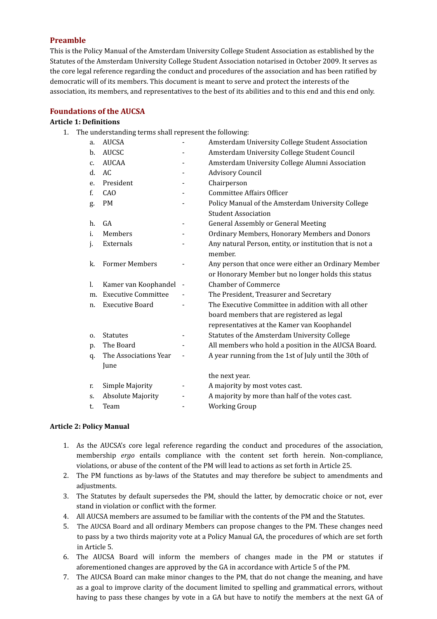#### <span id="page-1-0"></span>**Preamble**

This is the Policy Manual of the Amsterdam University College Student Association as established by the Statutes of the Amsterdam University College Student Association notarised in October 2009. It serves as the core legal reference regarding the conduct and procedures of the association and has been ratified by democratic will of its members. This document is meant to serve and protect the interests of the association, its members, and representatives to the best of its abilities and to this end and this end only.

#### <span id="page-1-1"></span>**Foundations of the AUCSA**

#### <span id="page-1-2"></span>**Article 1: Definitions**

1. The understanding terms shall represent the following:

| a. | <b>AUCSA</b>               |                              | Amsterdam University College Student Association         |
|----|----------------------------|------------------------------|----------------------------------------------------------|
| b. | <b>AUCSC</b>               |                              | Amsterdam University College Student Council             |
| C. | <b>AUCAA</b>               |                              | Amsterdam University College Alumni Association          |
| d. | AC.                        | -                            | <b>Advisory Council</b>                                  |
| e. | President                  |                              | Chairperson                                              |
| f. | CAO                        |                              | <b>Committee Affairs Officer</b>                         |
| g. | <b>PM</b>                  |                              | Policy Manual of the Amsterdam University College        |
|    |                            |                              | <b>Student Association</b>                               |
| h. | GA                         | $\qquad \qquad \blacksquare$ | <b>General Assembly or General Meeting</b>               |
| i. | Members                    |                              | Ordinary Members, Honorary Members and Donors            |
| j. | Externals                  |                              | Any natural Person, entity, or institution that is not a |
|    |                            |                              | member.                                                  |
| k. | <b>Former Members</b>      |                              | Any person that once were either an Ordinary Member      |
|    |                            |                              | or Honorary Member but no longer holds this status       |
| 1. | Kamer van Koophandel       |                              | <b>Chamber of Commerce</b>                               |
| m. | <b>Executive Committee</b> |                              | The President, Treasurer and Secretary                   |
| n. | <b>Executive Board</b>     |                              | The Executive Committee in addition with all other       |
|    |                            |                              | board members that are registered as legal               |
|    |                            |                              | representatives at the Kamer van Koophandel              |
| 0. | <b>Statutes</b>            |                              | Statutes of the Amsterdam University College             |
| p. | The Board                  |                              | All members who hold a position in the AUCSA Board.      |
| q. | The Associations Year      |                              | A year running from the 1st of July until the 30th of    |
|    | June                       |                              |                                                          |
|    |                            |                              | the next year.                                           |
| r. | Simple Majority            |                              | A majority by most votes cast.                           |
| S. | <b>Absolute Majority</b>   |                              | A majority by more than half of the votes cast.          |
| t. | Team                       |                              | <b>Working Group</b>                                     |
|    |                            |                              |                                                          |

#### <span id="page-1-3"></span>**Article 2: Policy Manual**

- 1. As the AUCSA's core legal reference regarding the conduct and procedures of the association, membership *ergo* entails compliance with the content set forth herein. Non-compliance, violations, or abuse of the content of the PM will lead to actions as set forth in Article 25.
- 2. The PM functions as by-laws of the Statutes and may therefore be subject to amendments and adjustments.
- 3. The Statutes by default supersedes the PM, should the latter, by democratic choice or not, ever stand in violation or conflict with the former.
- 4. All AUCSA members are assumed to be familiar with the contents of the PM and the Statutes.
- 5. The AUCSA Board and all ordinary Members can propose changes to the PM. These changes need to pass by a two thirds majority vote at a Policy Manual GA, the procedures of which are set forth in Article 5.
- 6. The AUCSA Board will inform the members of changes made in the PM or statutes if aforementioned changes are approved by the GA in accordance with Article 5 of the PM.
- 7. The AUCSA Board can make minor changes to the PM, that do not change the meaning, and have as a goal to improve clarity of the document limited to spelling and grammatical errors, without having to pass these changes by vote in a GA but have to notify the members at the next GA of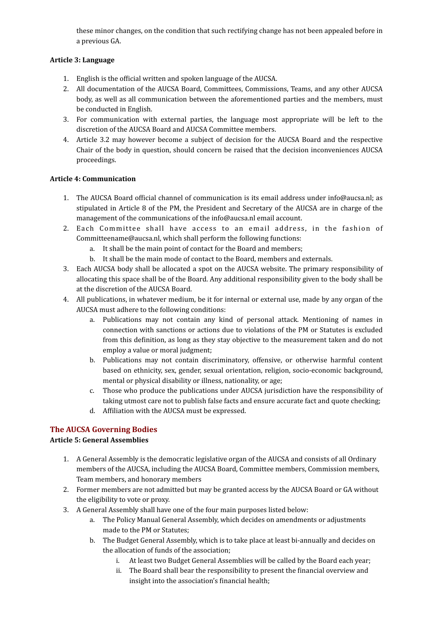these minor changes, on the condition that such rectifying change has not been appealed before in a previous GA.

#### <span id="page-2-0"></span>**Article 3: Language**

- 1. English is the official written and spoken language of the AUCSA.
- 2. All documentation of the AUCSA Board, Committees, Commissions, Teams, and any other AUCSA body, as well as all communication between the aforementioned parties and the members, must be conducted in English.
- 3. For communication with external parties, the language most appropriate will be left to the discretion of the AUCSA Board and AUCSA Committee members.
- 4. Article 3.2 may however become a subject of decision for the AUCSA Board and the respective Chair of the body in question, should concern be raised that the decision inconveniences AUCSA proceedings.

#### <span id="page-2-1"></span>**Article 4: Communication**

- 1. The AUCSA Board official channel of communication is its email address under info@aucsa.nl: as stipulated in Article 8 of the PM, the President and Secretary of the AUCSA are in charge of the management of the communications of the info@aucsa.nl email account.
- 2. Each Committee shall have access to an email address, in the fashion of Committeename@aucsa.nl, which shall perform the following functions:
	- a. It shall be the main point of contact for the Board and members;
	- b. It shall be the main mode of contact to the Board, members and externals.
- 3. Each AUCSA body shall be allocated a spot on the AUCSA website. The primary responsibility of allocating this space shall be of the Board. Any additional responsibility given to the body shall be at the discretion of the AUCSA Board.
- 4. All publications, in whatever medium, be it for internal or external use, made by any organ of the AUCSA must adhere to the following conditions:
	- a. Publications may not contain any kind of personal attack. Mentioning of names in connection with sanctions or actions due to violations of the PM or Statutes is excluded from this definition, as long as they stay objective to the measurement taken and do not employ a value or moral judgment;
	- b. Publications may not contain discriminatory, offensive, or otherwise harmful content based on ethnicity, sex, gender, sexual orientation, religion, socio-economic background, mental or physical disability or illness, nationality, or age;
	- c. Those who produce the publications under AUCSA jurisdiction have the responsibility of taking utmost care not to publish false facts and ensure accurate fact and quote checking;
	- d. Affiliation with the AUCSA must be expressed.

# <span id="page-2-2"></span>**The AUCSA Governing Bodies**

## <span id="page-2-3"></span>**Article 5: General Assemblies**

- 1. A General Assembly is the democratic legislative organ of the AUCSA and consists of all Ordinary members of the AUCSA, including the AUCSA Board, Committee members, Commission members, Team members, and honorary members
- 2. Former members are not admitted but may be granted access by the AUCSA Board or GA without the eligibility to vote or proxy.
- 3. A General Assembly shall have one of the four main purposes listed below:
	- a. The Policy Manual General Assembly, which decides on amendments or adjustments made to the PM or Statutes;
	- b. The Budget General Assembly, which is to take place at least bi-annually and decides on the allocation of funds of the association;
		- i. At least two Budget General Assemblies will be called by the Board each year;
		- ii. The Board shall bear the responsibility to present the financial overview and insight into the association's financial health;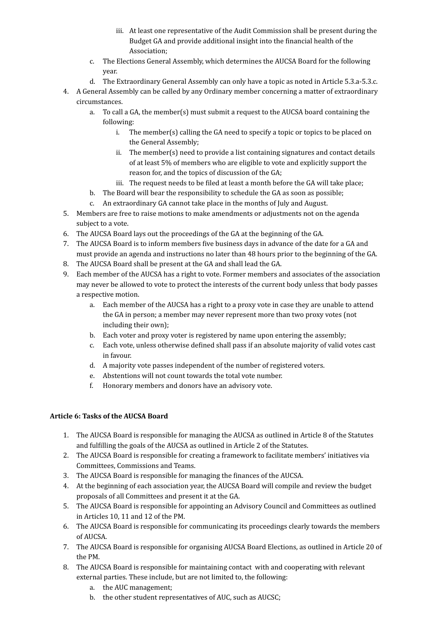- iii. At least one representative of the Audit Commission shall be present during the Budget GA and provide additional insight into the financial health of the Association;
- c. The Elections General Assembly, which determines the AUCSA Board for the following year.
- d. The Extraordinary General Assembly can only have a topic as noted in Article 5.3.a-5.3.c.
- 4. A General Assembly can be called by any Ordinary member concerning a matter of extraordinary circumstances.
	- a. To call a GA, the member(s) must submit a request to the AUCSA board containing the following:
		- i. The member(s) calling the GA need to specify a topic or topics to be placed on the General Assembly;
		- ii. The member(s) need to provide a list containing signatures and contact details of at least 5% of members who are eligible to vote and explicitly support the reason for, and the topics of discussion of the GA;
		- iii. The request needs to be filed at least a month before the GA will take place;
	- b. The Board will bear the responsibility to schedule the GA as soon as possible;
	- c. An extraordinary GA cannot take place in the months of July and August.
- 5. Members are free to raise motions to make amendments or adjustments not on the agenda subject to a vote.
- 6. The AUCSA Board lays out the proceedings of the GA at the beginning of the GA.
- 7. The AUCSA Board is to inform members five business days in advance of the date for a GA and must provide an agenda and instructions no later than 48 hours prior to the beginning of the GA.
- 8. The AUCSA Board shall be present at the GA and shall lead the GA.
- 9. Each member of the AUCSA has a right to vote. Former members and associates of the association may never be allowed to vote to protect the interests of the current body unless that body passes a respective motion.
	- a. Each member of the AUCSA has a right to a proxy vote in case they are unable to attend the GA in person; a member may never represent more than two proxy votes (not including their own);
	- b. Each voter and proxy voter is registered by name upon entering the assembly;
	- c. Each vote, unless otherwise defined shall pass if an absolute majority of valid votes cast in favour.
	- d. A majority vote passes independent of the number of registered voters.
	- e. Abstentions will not count towards the total vote number.
	- f. Honorary members and donors have an advisory vote.

## <span id="page-3-0"></span>Article 6: Tasks of the AUCSA Board

- 1. The AUCSA Board is responsible for managing the AUCSA as outlined in Article 8 of the Statutes and fulfilling the goals of the AUCSA as outlined in Article 2 of the Statutes.
- 2. The AUCSA Board is responsible for creating a framework to facilitate members' initiatives via Committees, Commissions and Teams.
- 3. The AUCSA Board is responsible for managing the finances of the AUCSA.
- 4. At the beginning of each association year, the AUCSA Board will compile and review the budget proposals of all Committees and present it at the GA.
- 5. The AUCSA Board is responsible for appointing an Advisory Council and Committees as outlined in Articles 10, 11 and 12 of the PM.
- 6. The AUCSA Board is responsible for communicating its proceedings clearly towards the members of AUCSA.
- 7. The AUCSA Board is responsible for organising AUCSA Board Elections, as outlined in Article 20 of the PM.
- 8. The AUCSA Board is responsible for maintaining contact with and cooperating with relevant external parties. These include, but are not limited to, the following:
	- a. the AUC management;
	- b. the other student representatives of AUC, such as AUCSC;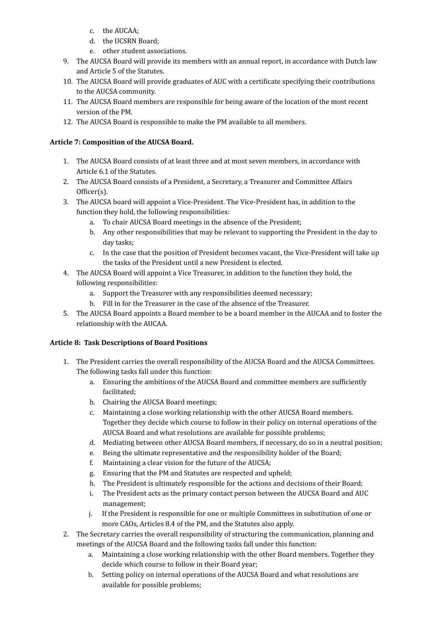- c. the AUCAA;
- d. the UCSRN Board:
- e. other student associations.
- 9. The AUCSA Board will provide its members with an annual report, in accordance with Dutch law and Article 5 of the Statutes.
- 10. The AUCSA Board will provide graduates of AUC with a certificate specifying their contributions to the AUCSA community.
- 11. The AUCSA Board members are responsible for being aware of the location of the most recent version of the PM.
- 12. The AUCSA Board is responsible to make the PM available to all members.

## <span id="page-4-0"></span>Article 7: Composition of the AUCSA Board.

- 1. The AUCSA Board consists of at least three and at most seven members, in accordance with Article 6.1 of the Statutes.
- 2. The AUCSA Board consists of a President, a Secretary, a Treasurer and Committee Affairs Officer(s).
- 3. The AUCSA board will appoint a Vice-President. The Vice-President has, in addition to the function they hold, the following responsibilities:
	- a. To chair AUCSA Board meetings in the absence of the President;
	- b. Any other responsibilities that may be relevant to supporting the President in the day to day tasks:
	- c. In the case that the position of President becomes vacant, the Vice-President will take up the tasks of the President until a new President is elected.
- 4. The AUCSA Board will appoint a Vice Treasurer, in addition to the function they hold, the following responsibilities:
	- a. Support the Treasurer with any responsibilities deemed necessary;
	- b. Fill in for the Treasurer in the case of the absence of the Treasurer.
- 5. The AUCSA Board appoints a Board member to be a board member in the AUCAA and to foster the relationship with the AUCAA.

## <span id="page-4-1"></span>Article 8: Task Descriptions of Board Positions

- 1. The President carries the overall responsibility of the AUCSA Board and the AUCSA Committees. The following tasks fall under this function:
	- a. Ensuring the ambitions of the AUCSA Board and committee members are sufficiently facilitated;
	- b. Chairing the AUCSA Board meetings;
	- c. Maintaining a close working relationship with the other AUCSA Board members. Together they decide which course to follow in their policy on internal operations of the AUCSA Board and what resolutions are available for possible problems;
	- d. Mediating between other AUCSA Board members, if necessary, do so in a neutral position;
	- e. Being the ultimate representative and the responsibility holder of the Board;
	- f. Maintaining a clear vision for the future of the AUCSA;
	- g. Ensuring that the PM and Statutes are respected and upheld;
	- h. The President is ultimately responsible for the actions and decisions of their Board;
	- i. The President acts as the primary contact person between the AUCSA Board and AUC management;
	- j. If the President is responsible for one or multiple Committees in substitution of one or more CAOs, Articles 8.4 of the PM, and the Statutes also apply.
- 2. The Secretary carries the overall responsibility of structuring the communication, planning and meetings of the AUCSA Board and the following tasks fall under this function:
	- a. Maintaining a close working relationship with the other Board members. Together they decide which course to follow in their Board year;
	- b. Setting policy on internal operations of the AUCSA Board and what resolutions are available for possible problems;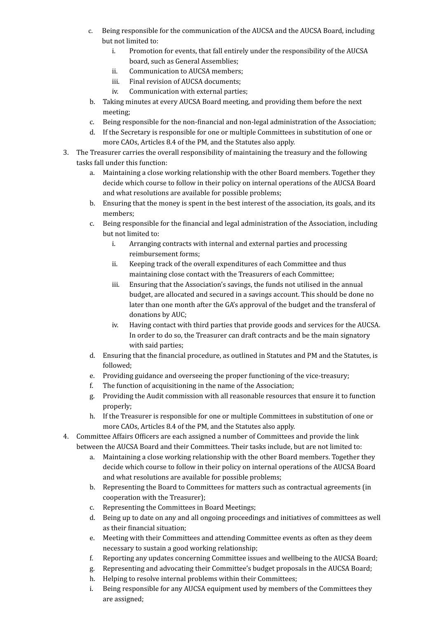- c. Being responsible for the communication of the AUCSA and the AUCSA Board, including but not limited to:
	- i. Promotion for events, that fall entirely under the responsibility of the AUCSA board, such as General Assemblies:
	- ii. Communication to AUCSA members;
	- iii. Final revision of AUCSA documents:
	- iv. Communication with external parties;
- b. Taking minutes at every AUCSA Board meeting, and providing them before the next meeting;
- c. Being responsible for the non-financial and non-legal administration of the Association;
- d. If the Secretary is responsible for one or multiple Committees in substitution of one or more CAOs, Articles 8.4 of the PM, and the Statutes also apply.
- 3. The Treasurer carries the overall responsibility of maintaining the treasury and the following tasks fall under this function:
	- a. Maintaining a close working relationship with the other Board members. Together they decide which course to follow in their policy on internal operations of the AUCSA Board and what resolutions are available for possible problems;
	- b. Ensuring that the money is spent in the best interest of the association, its goals, and its members;
	- c. Being responsible for the financial and legal administration of the Association, including but not limited to:
		- i. Arranging contracts with internal and external parties and processing reimbursement forms;
		- ii. Keeping track of the overall expenditures of each Committee and thus maintaining close contact with the Treasurers of each Committee;
		- iii. Ensuring that the Association's savings, the funds not utilised in the annual budget, are allocated and secured in a savings account. This should be done no later than one month after the GA's approval of the budget and the transferal of donations by AUC;
		- iv. Having contact with third parties that provide goods and services for the AUCSA. In order to do so, the Treasurer can draft contracts and be the main signatory with said parties;
	- d. Ensuring that the financial procedure, as outlined in Statutes and PM and the Statutes, is followed;
	- e. Providing guidance and overseeing the proper functioning of the vice-treasury;
	- f. The function of acquisitioning in the name of the Association;
	- g. Providing the Audit commission with all reasonable resources that ensure it to function properly;
	- h. If the Treasurer is responsible for one or multiple Committees in substitution of one or more CAOs, Articles 8.4 of the PM, and the Statutes also apply.
- 4. Committee Affairs Officers are each assigned a number of Committees and provide the link between the AUCSA Board and their Committees. Their tasks include, but are not limited to:
	- a. Maintaining a close working relationship with the other Board members. Together they decide which course to follow in their policy on internal operations of the AUCSA Board and what resolutions are available for possible problems;
	- b. Representing the Board to Committees for matters such as contractual agreements (in cooperation with the Treasurer);
	- c. Representing the Committees in Board Meetings;
	- d. Being up to date on any and all ongoing proceedings and initiatives of committees as well as their financial situation;
	- e. Meeting with their Committees and attending Committee events as often as they deem necessary to sustain a good working relationship;
	- f. Reporting any updates concerning Committee issues and wellbeing to the AUCSA Board;
	- g. Representing and advocating their Committee's budget proposals in the AUCSA Board;
	- h. Helping to resolve internal problems within their Committees;
	- i. Being responsible for any AUCSA equipment used by members of the Committees they are assigned;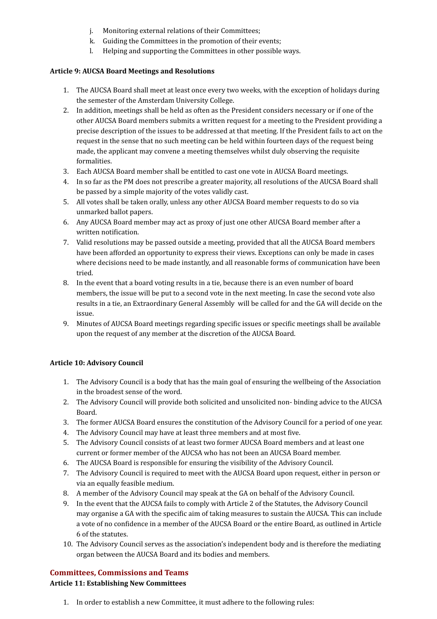- j. Monitoring external relations of their Committees;
- k. Guiding the Committees in the promotion of their events;
- l. Helping and supporting the Committees in other possible ways.

#### <span id="page-6-0"></span>**Article 9: AUCSA Board Meetings and Resolutions**

- 1. The AUCSA Board shall meet at least once every two weeks, with the exception of holidays during the semester of the Amsterdam University College.
- 2. In addition, meetings shall be held as often as the President considers necessary or if one of the other AUCSA Board members submits a written request for a meeting to the President providing a precise description of the issues to be addressed at that meeting. If the President fails to act on the request in the sense that no such meeting can be held within fourteen days of the request being made, the applicant may convene a meeting themselves whilst duly observing the requisite formalities.
- 3. Each AUCSA Board member shall be entitled to cast one vote in AUCSA Board meetings.
- 4. In so far as the PM does not prescribe a greater majority, all resolutions of the AUCSA Board shall be passed by a simple majority of the votes validly cast.
- 5. All votes shall be taken orally, unless any other AUCSA Board member requests to do so via unmarked ballot papers.
- 6. Any AUCSA Board member may act as proxy of just one other AUCSA Board member after a written notification.
- 7. Valid resolutions may be passed outside a meeting, provided that all the AUCSA Board members have been afforded an opportunity to express their views. Exceptions can only be made in cases where decisions need to be made instantly, and all reasonable forms of communication have been tried.
- 8. In the event that a board voting results in a tie, because there is an even number of board members, the issue will be put to a second vote in the next meeting. In case the second vote also results in a tie, an Extraordinary General Assembly will be called for and the GA will decide on the issue.
- 9. Minutes of AUCSA Board meetings regarding specific issues or specific meetings shall be available upon the request of any member at the discretion of the AUCSA Board.

## <span id="page-6-1"></span>**Article 10: Advisory Council**

- 1. The Advisory Council is a body that has the main goal of ensuring the wellbeing of the Association in the broadest sense of the word.
- 2. The Advisory Council will provide both solicited and unsolicited non- binding advice to the AUCSA Board.
- 3. The former AUCSA Board ensures the constitution of the Advisory Council for a period of one year.
- 4. The Advisory Council may have at least three members and at most five.
- 5. The Advisory Council consists of at least two former AUCSA Board members and at least one current or former member of the AUCSA who has not been an AUCSA Board member.
- 6. The AUCSA Board is responsible for ensuring the visibility of the Advisory Council.
- 7. The Advisory Council is required to meet with the AUCSA Board upon request, either in person or via an equally feasible medium.
- 8. A member of the Advisory Council may speak at the GA on behalf of the Advisory Council.
- 9. In the event that the AUCSA fails to comply with Article 2 of the Statutes, the Advisory Council may organise a GA with the specific aim of taking measures to sustain the AUCSA. This can include a vote of no confidence in a member of the AUCSA Board or the entire Board, as outlined in Article 6 of the statutes.
- 10. The Advisory Council serves as the association's independent body and is therefore the mediating organ between the AUCSA Board and its bodies and members.

## <span id="page-6-2"></span>**Committees, Commissions and Teams**

## <span id="page-6-3"></span>**Article 11: Establishing New Committees**

1. In order to establish a new Committee, it must adhere to the following rules: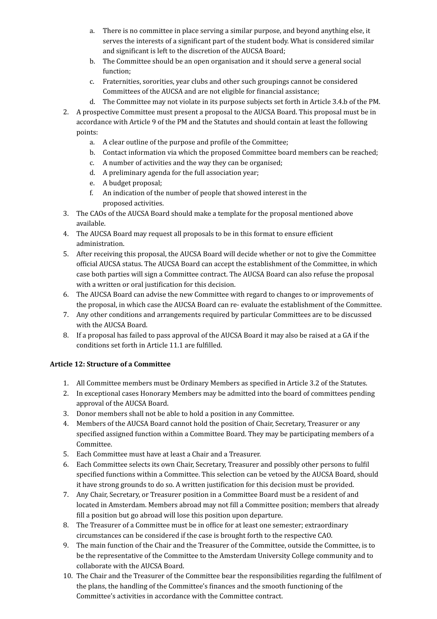- a. There is no committee in place serving a similar purpose, and beyond anything else, it serves the interests of a significant part of the student body. What is considered similar and significant is left to the discretion of the AUCSA Board;
- b. The Committee should be an open organisation and it should serve a general social function;
- c. Fraternities, sororities, year clubs and other such groupings cannot be considered Committees of the AUCSA and are not eligible for financial assistance;
- d. The Committee may not violate in its purpose subjects set forth in Article 3.4.b of the PM.
- 2. A prospective Committee must present a proposal to the AUCSA Board. This proposal must be in accordance with Article 9 of the PM and the Statutes and should contain at least the following points:
	- a. A clear outline of the purpose and profile of the Committee;
	- b. Contact information via which the proposed Committee board members can be reached;
	- c. A number of activities and the way they can be organised;
	- d. A preliminary agenda for the full association year;
	- e. A budget proposal;
	- f. An indication of the number of people that showed interest in the proposed activities.
- 3. The CAOs of the AUCSA Board should make a template for the proposal mentioned above available.
- 4. The AUCSA Board may request all proposals to be in this format to ensure efficient administration.
- 5. After receiving this proposal, the AUCSA Board will decide whether or not to give the Committee official AUCSA status. The AUCSA Board can accept the establishment of the Committee, in which case both parties will sign a Committee contract. The AUCSA Board can also refuse the proposal with a written or oral justification for this decision.
- 6. The AUCSA Board can advise the new Committee with regard to changes to or improvements of the proposal, in which case the AUCSA Board can re- evaluate the establishment of the Committee.
- 7. Any other conditions and arrangements required by particular Committees are to be discussed with the AUCSA Board.
- 8. If a proposal has failed to pass approval of the AUCSA Board it may also be raised at a GA if the conditions set forth in Article 11.1 are fulfilled.

## <span id="page-7-0"></span>**Article 12: Structure of a Committee**

- 1. All Committee members must be Ordinary Members as specified in Article 3.2 of the Statutes.
- 2. In exceptional cases Honorary Members may be admitted into the board of committees pending approval of the AUCSA Board.
- 3. Donor members shall not be able to hold a position in any Committee.
- 4. Members of the AUCSA Board cannot hold the position of Chair, Secretary, Treasurer or any specified assigned function within a Committee Board. They may be participating members of a Committee.
- 5. Each Committee must have at least a Chair and a Treasurer.
- 6. Each Committee selects its own Chair, Secretary, Treasurer and possibly other persons to fulfil specified functions within a Committee. This selection can be vetoed by the AUCSA Board, should it have strong grounds to do so. A written justification for this decision must be provided.
- 7. Any Chair, Secretary, or Treasurer position in a Committee Board must be a resident of and located in Amsterdam. Members abroad may not fill a Committee position; members that already fill a position but go abroad will lose this position upon departure.
- 8. The Treasurer of a Committee must be in office for at least one semester; extraordinary circumstances can be considered if the case is brought forth to the respective CAO.
- 9. The main function of the Chair and the Treasurer of the Committee, outside the Committee, is to be the representative of the Committee to the Amsterdam University College community and to collaborate with the AUCSA Board.
- 10. The Chair and the Treasurer of the Committee bear the responsibilities regarding the fulfilment of the plans, the handling of the Committee's finances and the smooth functioning of the Committee's activities in accordance with the Committee contract.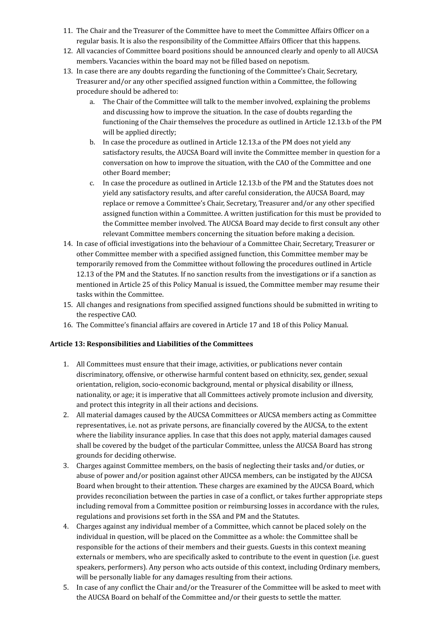- 11. The Chair and the Treasurer of the Committee have to meet the Committee Affairs Officer on a regular basis. It is also the responsibility of the Committee Affairs Officer that this happens.
- 12. All vacancies of Committee board positions should be announced clearly and openly to all AUCSA members. Vacancies within the board may not be filled based on nepotism.
- 13. In case there are any doubts regarding the functioning of the Committee's Chair, Secretary, Treasurer and/or any other specified assigned function within a Committee, the following procedure should be adhered to:
	- a. The Chair of the Committee will talk to the member involved, explaining the problems and discussing how to improve the situation. In the case of doubts regarding the functioning of the Chair themselves the procedure as outlined in Article 12.13.b of the PM will be applied directly;
	- b. In case the procedure as outlined in Article 12.13.a of the PM does not yield any satisfactory results, the AUCSA Board will invite the Committee member in question for a conversation on how to improve the situation, with the CAO of the Committee and one other Board member;
	- c. In case the procedure as outlined in Article 12.13.b of the PM and the Statutes does not yield any satisfactory results, and after careful consideration, the AUCSA Board, may replace or remove a Committee's Chair, Secretary, Treasurer and/or any other specified assigned function within a Committee. A written justification for this must be provided to the Committee member involved. The AUCSA Board may decide to first consult any other relevant Committee members concerning the situation before making a decision.
- 14. In case of official investigations into the behaviour of a Committee Chair, Secretary, Treasurer or other Committee member with a specified assigned function, this Committee member may be temporarily removed from the Committee without following the procedures outlined in Article 12.13 of the PM and the Statutes. If no sanction results from the investigations or if a sanction as mentioned in Article 25 of this Policy Manual is issued, the Committee member may resume their tasks within the Committee.
- 15. All changes and resignations from specified assigned functions should be submitted in writing to the respective CAO.
- 16. The Committee's financial affairs are covered in Article 17 and 18 of this Policy Manual.

#### <span id="page-8-0"></span>Article 13: Responsibilities and Liabilities of the Committees

- 1. All Committees must ensure that their image, activities, or publications never contain discriminatory, offensive, or otherwise harmful content based on ethnicity, sex, gender, sexual orientation, religion, socio-economic background, mental or physical disability or illness, nationality, or age; it is imperative that all Committees actively promote inclusion and diversity, and protect this integrity in all their actions and decisions.
- 2. All material damages caused by the AUCSA Committees or AUCSA members acting as Committee representatives, i.e. not as private persons, are financially covered by the AUCSA, to the extent where the liability insurance applies. In case that this does not apply, material damages caused shall be covered by the budget of the particular Committee, unless the AUCSA Board has strong grounds for deciding otherwise.
- 3. Charges against Committee members, on the basis of neglecting their tasks and/or duties, or abuse of power and/or position against other AUCSA members, can be instigated by the AUCSA Board when brought to their attention. These charges are examined by the AUCSA Board, which provides reconciliation between the parties in case of a conflict, or takes further appropriate steps including removal from a Committee position or reimbursing losses in accordance with the rules, regulations and provisions set forth in the SSA and PM and the Statutes.
- 4. Charges against any individual member of a Committee, which cannot be placed solely on the individual in question, will be placed on the Committee as a whole: the Committee shall be responsible for the actions of their members and their guests. Guests in this context meaning externals or members, who are specifically asked to contribute to the event in question (i.e. guest speakers, performers). Any person who acts outside of this context, including Ordinary members, will be personally liable for any damages resulting from their actions.
- 5. In case of any conflict the Chair and/or the Treasurer of the Committee will be asked to meet with the AUCSA Board on behalf of the Committee and/or their guests to settle the matter.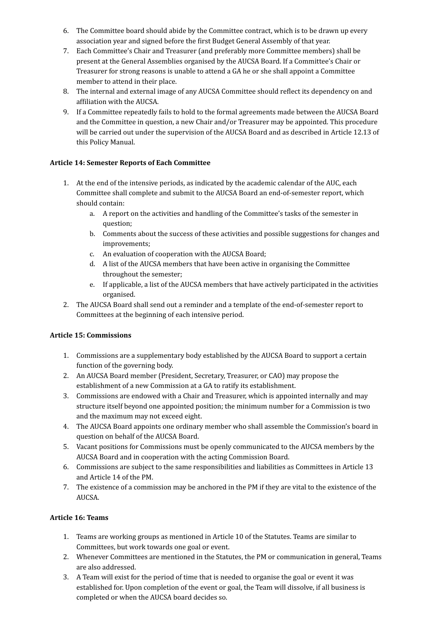- 6. The Committee board should abide by the Committee contract, which is to be drawn up every association year and signed before the first Budget General Assembly of that year.
- 7. Each Committee's Chair and Treasurer (and preferably more Committee members) shall be present at the General Assemblies organised by the AUCSA Board. If a Committee's Chair or Treasurer for strong reasons is unable to attend a GA he or she shall appoint a Committee member to attend in their place.
- 8. The internal and external image of any AUCSA Committee should reflect its dependency on and affiliation with the AUCSA.
- 9. If a Committee repeatedly fails to hold to the formal agreements made between the AUCSA Board and the Committee in question, a new Chair and/or Treasurer may be appointed. This procedure will be carried out under the supervision of the AUCSA Board and as described in Article 12.13 of this Policy Manual.

#### <span id="page-9-0"></span>**Article 14: Semester Reports of Each Committee**

- 1. At the end of the intensive periods, as indicated by the academic calendar of the AUC, each Committee shall complete and submit to the AUCSA Board an end-of-semester report, which should contain:
	- a. A report on the activities and handling of the Committee's tasks of the semester in question;
	- b. Comments about the success of these activities and possible suggestions for changes and improvements;
	- c. An evaluation of cooperation with the AUCSA Board;
	- d. A list of the AUCSA members that have been active in organising the Committee throughout the semester;
	- e. If applicable, a list of the AUCSA members that have actively participated in the activities organised.
- 2. The AUCSA Board shall send out a reminder and a template of the end-of-semester report to Committees at the beginning of each intensive period.

## <span id="page-9-1"></span>**Article 15: Commissions**

- 1. Commissions are a supplementary body established by the AUCSA Board to support a certain function of the governing body.
- 2. An AUCSA Board member (President, Secretary, Treasurer, or CAO) may propose the establishment of a new Commission at a GA to ratify its establishment.
- 3. Commissions are endowed with a Chair and Treasurer, which is appointed internally and may structure itself beyond one appointed position; the minimum number for a Commission is two and the maximum may not exceed eight.
- 4. The AUCSA Board appoints one ordinary member who shall assemble the Commission's board in question on behalf of the AUCSA Board.
- 5. Vacant positions for Commissions must be openly communicated to the AUCSA members by the AUCSA Board and in cooperation with the acting Commission Board.
- 6. Commissions are subject to the same responsibilities and liabilities as Committees in Article 13 and Article 14 of the PM.
- 7. The existence of a commission may be anchored in the PM if they are vital to the existence of the AUCSA.

## <span id="page-9-2"></span>**Article 16: Teams**

- 1. Teams are working groups as mentioned in Article 10 of the Statutes. Teams are similar to Committees, but work towards one goal or event.
- 2. Whenever Committees are mentioned in the Statutes, the PM or communication in general, Teams are also addressed.
- 3. A Team will exist for the period of time that is needed to organise the goal or event it was established for. Upon completion of the event or goal, the Team will dissolve, if all business is completed or when the AUCSA board decides so.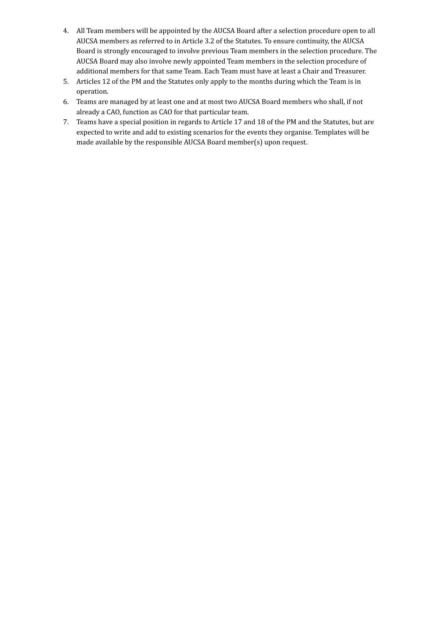- 4. All Team members will be appointed by the AUCSA Board after a selection procedure open to all AUCSA members as referred to in Article 3.2 of the Statutes. To ensure continuity, the AUCSA Board is strongly encouraged to involve previous Team members in the selection procedure. The AUCSA Board may also involve newly appointed Team members in the selection procedure of additional members for that same Team. Each Team must have at least a Chair and Treasurer.
- 5. Articles 12 of the PM and the Statutes only apply to the months during which the Team is in operation.
- 6. Teams are managed by at least one and at most two AUCSA Board members who shall, if not already a CAO, function as CAO for that particular team.
- 7. Teams have a special position in regards to Article 17 and 18 of the PM and the Statutes, but are expected to write and add to existing scenarios for the events they organise. Templates will be made available by the responsible AUCSA Board member(s) upon request.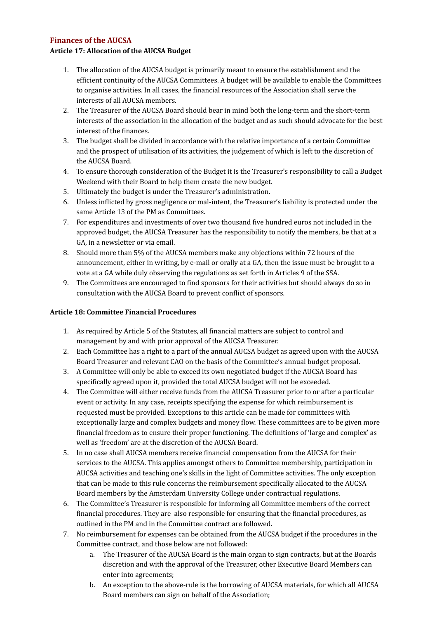## <span id="page-11-0"></span>**Finances of the AUCSA**

#### <span id="page-11-1"></span>Article 17: Allocation of the AUCSA Budget

- 1. The allocation of the AUCSA budget is primarily meant to ensure the establishment and the efficient continuity of the AUCSA Committees. A budget will be available to enable the Committees to organise activities. In all cases, the financial resources of the Association shall serve the interests of all AUCSA members.
- 2. The Treasurer of the AUCSA Board should bear in mind both the long-term and the short-term interests of the association in the allocation of the budget and as such should advocate for the best interest of the finances.
- 3. The budget shall be divided in accordance with the relative importance of a certain Committee and the prospect of utilisation of its activities, the judgement of which is left to the discretion of the AUCSA Board.
- 4. To ensure thorough consideration of the Budget it is the Treasurer's responsibility to call a Budget Weekend with their Board to help them create the new budget.
- 5. Ultimately the budget is under the Treasurer's administration.
- 6. Unless inflicted by gross negligence or mal-intent, the Treasurer's liability is protected under the same Article 13 of the PM as Committees.
- 7. For expenditures and investments of over two thousand five hundred euros not included in the approved budget, the AUCSA Treasurer has the responsibility to notify the members, be that at a GA, in a newsletter or via email.
- 8. Should more than 5% of the AUCSA members make any objections within 72 hours of the announcement, either in writing, by e-mail or orally at a GA, then the issue must be brought to a vote at a GA while duly observing the regulations as set forth in Articles 9 of the SSA.
- 9. The Committees are encouraged to find sponsors for their activities but should always do so in consultation with the AUCSA Board to prevent conflict of sponsors.

#### <span id="page-11-2"></span>**Article 18: Committee Financial Procedures**

- 1. As required by Article 5 of the Statutes, all financial matters are subject to control and management by and with prior approval of the AUCSA Treasurer.
- 2. Each Committee has a right to a part of the annual AUCSA budget as agreed upon with the AUCSA Board Treasurer and relevant CAO on the basis of the Committee's annual budget proposal.
- 3. A Committee will only be able to exceed its own negotiated budget if the AUCSA Board has specifically agreed upon it, provided the total AUCSA budget will not be exceeded.
- 4. The Committee will either receive funds from the AUCSA Treasurer prior to or after a particular event or activity. In any case, receipts specifying the expense for which reimbursement is requested must be provided. Exceptions to this article can be made for committees with exceptionally large and complex budgets and money flow. These committees are to be given more financial freedom as to ensure their proper functioning. The definitions of 'large and complex' as well as 'freedom' are at the discretion of the AUCSA Board.
- 5. In no case shall AUCSA members receive financial compensation from the AUCSA for their services to the AUCSA. This applies amongst others to Committee membership, participation in AUCSA activities and teaching one's skills in the light of Committee activities. The only exception that can be made to this rule concerns the reimbursement specifically allocated to the AUCSA Board members by the Amsterdam University College under contractual regulations.
- 6. The Committee's Treasurer is responsible for informing all Committee members of the correct financial procedures. They are also responsible for ensuring that the financial procedures, as outlined in the PM and in the Committee contract are followed.
- 7. No reimbursement for expenses can be obtained from the AUCSA budget if the procedures in the Committee contract, and those below are not followed:
	- a. The Treasurer of the AUCSA Board is the main organ to sign contracts, but at the Boards discretion and with the approval of the Treasurer, other Executive Board Members can enter into agreements;
	- b. An exception to the above-rule is the borrowing of AUCSA materials, for which all AUCSA Board members can sign on behalf of the Association;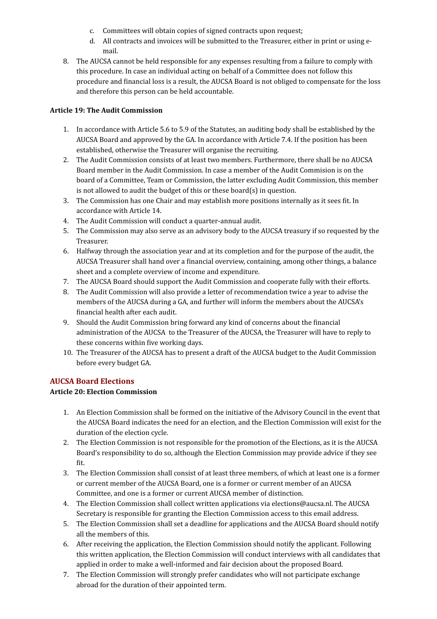- c. Committees will obtain copies of signed contracts upon request;
- d. All contracts and invoices will be submitted to the Treasurer, either in print or using email.
- 8. The AUCSA cannot be held responsible for any expenses resulting from a failure to comply with this procedure. In case an individual acting on behalf of a Committee does not follow this procedure and financial loss is a result, the AUCSA Board is not obliged to compensate for the loss and therefore this person can be held accountable.

#### <span id="page-12-0"></span>**Article 19: The Audit Commission**

- 1. In accordance with Article 5.6 to 5.9 of the Statutes, an auditing body shall be established by the AUCSA Board and approved by the GA. In accordance with Article 7.4. If the position has been established, otherwise the Treasurer will organise the recruiting.
- 2. The Audit Commission consists of at least two members. Furthermore, there shall be no AUCSA Board member in the Audit Commission. In case a member of the Audit Commision is on the board of a Committee, Team or Commission, the latter excluding Audit Commission, this member is not allowed to audit the budget of this or these board(s) in question.
- 3. The Commission has one Chair and may establish more positions internally as it sees fit. In accordance with Article 14.
- 4. The Audit Commission will conduct a quarter-annual audit.
- 5. The Commission may also serve as an advisory body to the AUCSA treasury if so requested by the Treasurer.
- 6. Halfway through the association year and at its completion and for the purpose of the audit, the AUCSA Treasurer shall hand over a financial overview, containing, among other things, a balance sheet and a complete overview of income and expenditure.
- 7. The AUCSA Board should support the Audit Commission and cooperate fully with their efforts.
- 8. The Audit Commission will also provide a letter of recommendation twice a year to advise the members of the AUCSA during a GA, and further will inform the members about the AUCSA's financial health after each audit.
- 9. Should the Audit Commission bring forward any kind of concerns about the financial administration of the AUCSA to the Treasurer of the AUCSA, the Treasurer will have to reply to these concerns within five working days.
- 10. The Treasurer of the AUCSA has to present a draft of the AUCSA budget to the Audit Commission before every budget GA.

## <span id="page-12-1"></span>**AUCSA Board Elections**

## <span id="page-12-2"></span>**Article 20: Election Commission**

- 1. An Election Commission shall be formed on the initiative of the Advisory Council in the event that the AUCSA Board indicates the need for an election, and the Election Commission will exist for the duration of the election cycle.
- 2. The Election Commission is not responsible for the promotion of the Elections, as it is the AUCSA Board's responsibility to do so, although the Election Commission may provide advice if they see fit.
- 3. The Election Commission shall consist of at least three members, of which at least one is a former or current member of the AUCSA Board, one is a former or current member of an AUCSA Committee, and one is a former or current AUCSA member of distinction.
- 4. The Election Commission shall collect written applications via elections@aucsa.nl. The AUCSA Secretary is responsible for granting the Election Commission access to this email address.
- 5. The Election Commission shall set a deadline for applications and the AUCSA Board should notify all the members of this.
- 6. After receiving the application, the Election Commission should notify the applicant. Following this written application, the Election Commission will conduct interviews with all candidates that applied in order to make a well-informed and fair decision about the proposed Board.
- 7. The Election Commission will strongly prefer candidates who will not participate exchange abroad for the duration of their appointed term.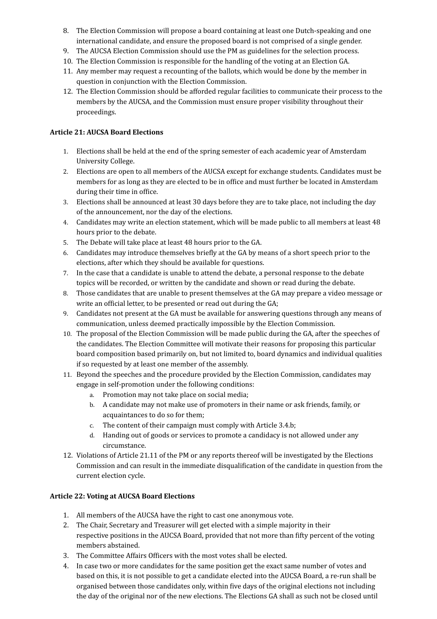- 8. The Election Commission will propose a board containing at least one Dutch-speaking and one international candidate, and ensure the proposed board is not comprised of a single gender.
- 9. The AUCSA Election Commission should use the PM as guidelines for the selection process.
- 10. The Election Commission is responsible for the handling of the voting at an Election GA.
- 11. Any member may request a recounting of the ballots, which would be done by the member in question in conjunction with the Election Commission.
- 12. The Election Commission should be afforded regular facilities to communicate their process to the members by the AUCSA, and the Commission must ensure proper visibility throughout their proceedings.

## <span id="page-13-0"></span>**Article 21: AUCSA Board Elections**

- 1. Elections shall be held at the end of the spring semester of each academic year of Amsterdam University College.
- 2. Elections are open to all members of the AUCSA except for exchange students. Candidates must be members for as long as they are elected to be in office and must further be located in Amsterdam during their time in office.
- 3. Elections shall be announced at least 30 days before they are to take place, not including the day of the announcement, nor the day of the elections.
- 4. Candidates may write an election statement, which will be made public to all members at least 48 hours prior to the debate.
- 5. The Debate will take place at least 48 hours prior to the GA.
- 6. Candidates may introduce themselves briefly at the GA by means of a short speech prior to the elections, after which they should be available for questions.
- 7. In the case that a candidate is unable to attend the debate, a personal response to the debate topics will be recorded, or written by the candidate and shown or read during the debate.
- 8. Those candidates that are unable to present themselves at the GA may prepare a video message or write an official letter, to be presented or read out during the GA;
- 9. Candidates not present at the GA must be available for answering questions through any means of communication, unless deemed practically impossible by the Election Commission.
- 10. The proposal of the Election Commission will be made public during the GA, after the speeches of the candidates. The Election Committee will motivate their reasons for proposing this particular board composition based primarily on, but not limited to, board dynamics and individual qualities if so requested by at least one member of the assembly.
- 11. Beyond the speeches and the procedure provided by the Election Commission, candidates may engage in self-promotion under the following conditions:
	- a. Promotion may not take place on social media;
	- b. A candidate may not make use of promoters in their name or ask friends, family, or acquaintances to do so for them:
	- c. The content of their campaign must comply with Article 3.4.b;
	- d. Handing out of goods or services to promote a candidacy is not allowed under any circumstance.
- 12. Violations of Article 21.11 of the PM or any reports thereof will be investigated by the Elections Commission and can result in the immediate disqualification of the candidate in question from the current election cycle.

# <span id="page-13-1"></span>**Article 22: Voting at AUCSA Board Elections**

- 1. All members of the AUCSA have the right to cast one anonymous vote.
- 2. The Chair, Secretary and Treasurer will get elected with a simple majority in their respective positions in the AUCSA Board, provided that not more than fifty percent of the voting members abstained.
- 3. The Committee Affairs Officers with the most votes shall be elected.
- 4. In case two or more candidates for the same position get the exact same number of votes and based on this, it is not possible to get a candidate elected into the AUCSA Board, a re-run shall be organised between those candidates only, within five days of the original elections not including the day of the original nor of the new elections. The Elections GA shall as such not be closed until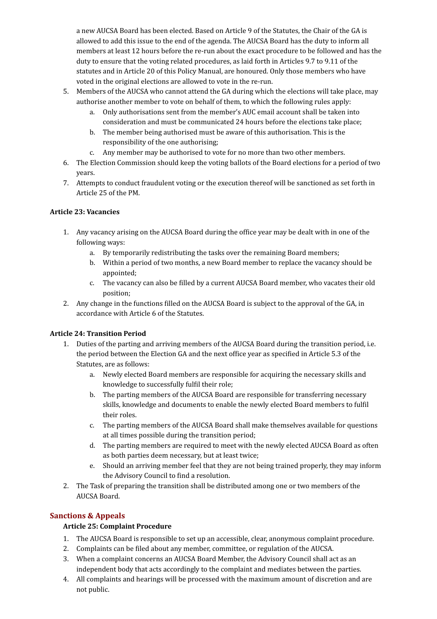a new AUCSA Board has been elected. Based on Article 9 of the Statutes, the Chair of the GA is allowed to add this issue to the end of the agenda. The AUCSA Board has the duty to inform all members at least 12 hours before the re-run about the exact procedure to be followed and has the duty to ensure that the voting related procedures, as laid forth in Articles 9.7 to 9.11 of the statutes and in Article 20 of this Policy Manual, are honoured. Only those members who have voted in the original elections are allowed to vote in the re-run.

- 5. Members of the AUCSA who cannot attend the GA during which the elections will take place, may authorise another member to vote on behalf of them, to which the following rules apply:
	- a. Only authorisations sent from the member's AUC email account shall be taken into consideration and must be communicated 24 hours before the elections take place;
	- b. The member being authorised must be aware of this authorisation. This is the responsibility of the one authorising;
	- c. Any member may be authorised to vote for no more than two other members.
- 6. The Election Commission should keep the voting ballots of the Board elections for a period of two years.
- 7. Attempts to conduct fraudulent voting or the execution thereof will be sanctioned as set forth in Article 25 of the PM.

#### <span id="page-14-0"></span>**Article 23: Vacancies**

- 1. Any vacancy arising on the AUCSA Board during the office year may be dealt with in one of the following ways:
	- a. By temporarily redistributing the tasks over the remaining Board members;
	- b. Within a period of two months, a new Board member to replace the vacancy should be appointed;
	- c. The vacancy can also be filled by a current AUCSA Board member, who vacates their old position;
- 2. Any change in the functions filled on the AUCSA Board is subject to the approval of the GA, in accordance with Article 6 of the Statutes.

## <span id="page-14-1"></span>**Article 24: Transition Period**

- 1. Duties of the parting and arriving members of the AUCSA Board during the transition period, i.e. the period between the Election GA and the next office year as specified in Article 5.3 of the Statutes, are as follows:
	- a. Newly elected Board members are responsible for acquiring the necessary skills and knowledge to successfully fulfil their role;
	- b. The parting members of the AUCSA Board are responsible for transferring necessary skills, knowledge and documents to enable the newly elected Board members to fulfil their roles.
	- c. The parting members of the AUCSA Board shall make themselves available for questions at all times possible during the transition period;
	- d. The parting members are required to meet with the newly elected AUCSA Board as often as both parties deem necessary, but at least twice;
	- e. Should an arriving member feel that they are not being trained properly, they may inform the Advisory Council to find a resolution.
- 2. The Task of preparing the transition shall be distributed among one or two members of the AUCSA Board.

## **Sanctions & Appeals**

## <span id="page-14-2"></span>**Article 25: Complaint Procedure**

- 1. The AUCSA Board is responsible to set up an accessible, clear, anonymous complaint procedure.
- 2. Complaints can be filed about any member, committee, or regulation of the AUCSA.
- 3. When a complaint concerns an AUCSA Board Member, the Advisory Council shall act as an independent body that acts accordingly to the complaint and mediates between the parties.
- 4. All complaints and hearings will be processed with the maximum amount of discretion and are not public.